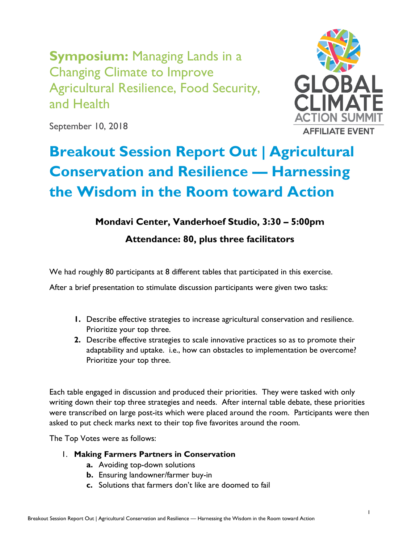**Symposium:** Managing Lands in a Changing Climate to Improve Agricultural Resilience, Food Security, and Health



September 10, 2018

# **Breakout Session Report Out | Agricultural Conservation and Resilience — Harnessing the Wisdom in the Room toward Action**

# **Mondavi Center, Vanderhoef Studio, 3:30 – 5:00pm**

**Attendance: 80, plus three facilitators**

We had roughly 80 participants at 8 different tables that participated in this exercise.

After a brief presentation to stimulate discussion participants were given two tasks:

- **1.** Describe effective strategies to increase agricultural conservation and resilience. Prioritize your top three.
- **2.** Describe effective strategies to scale innovative practices so as to promote their adaptability and uptake. i.e., how can obstacles to implementation be overcome? Prioritize your top three.

Each table engaged in discussion and produced their priorities. They were tasked with only writing down their top three strategies and needs. After internal table debate, these priorities were transcribed on large post-its which were placed around the room. Participants were then asked to put check marks next to their top five favorites around the room.

The Top Votes were as follows:

# 1. **Making Farmers Partners in Conservation**

- **a.** Avoiding top-down solutions
- **b.** Ensuring landowner/farmer buy-in
- **c.** Solutions that farmers don't like are doomed to fail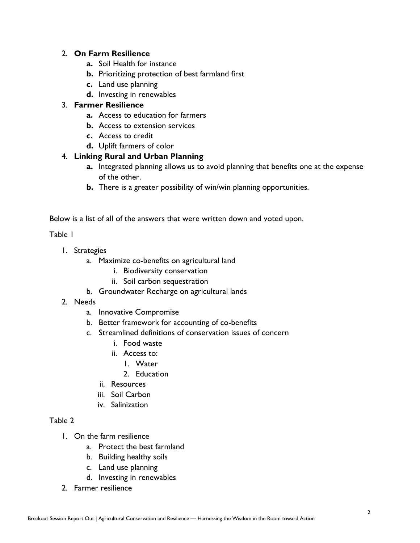# 2. **On Farm Resilience**

- **a.** Soil Health for instance
- **b.** Prioritizing protection of best farmland first
- **c.** Land use planning
- **d.** Investing in renewables

# 3. **Farmer Resilience**

- **a.** Access to education for farmers
- **b.** Access to extension services
- **c.** Access to credit
- **d.** Uplift farmers of color

# 4. **Linking Rural and Urban Planning**

- **a.** Integrated planning allows us to avoid planning that benefits one at the expense of the other.
- **b.** There is a greater possibility of win/win planning opportunities.

Below is a list of all of the answers that were written down and voted upon.

#### Table 1

- 1. Strategies
	- a. Maximize co-benefits on agricultural land
		- i. Biodiversity conservation
		- ii. Soil carbon sequestration
	- b. Groundwater Recharge on agricultural lands
- 2. Needs
	- a. Innovative Compromise
	- b. Better framework for accounting of co-benefits
	- c. Streamlined definitions of conservation issues of concern
		- i. Food waste
		- ii. Access to:
			- 1. Water
			- 2. Education
		- ii. Resources
		- iii. Soil Carbon
		- iv. Salinization

## Table 2

- 1. On the farm resilience
	- a. Protect the best farmland
	- b. Building healthy soils
	- c. Land use planning
	- d. Investing in renewables
- 2. Farmer resilience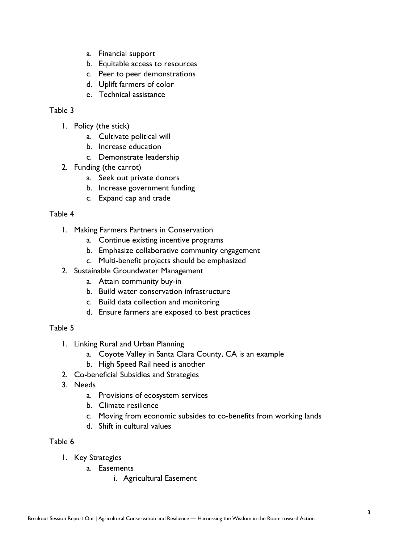- a. Financial support
- b. Equitable access to resources
- c. Peer to peer demonstrations
- d. Uplift farmers of color
- e. Technical assistance

## Table 3

- 1. Policy (the stick)
	- a. Cultivate political will
	- b. Increase education
	- c. Demonstrate leadership
- 2. Funding (the carrot)
	- a. Seek out private donors
	- b. Increase government funding
	- c. Expand cap and trade

#### Table 4

- 1. Making Farmers Partners in Conservation
	- a. Continue existing incentive programs
	- b. Emphasize collaborative community engagement
	- c. Multi-benefit projects should be emphasized
- 2. Sustainable Groundwater Management
	- a. Attain community buy-in
	- b. Build water conservation infrastructure
	- c. Build data collection and monitoring
	- d. Ensure farmers are exposed to best practices

#### Table 5

- 1. Linking Rural and Urban Planning
	- a. Coyote Valley in Santa Clara County, CA is an example
	- b. High Speed Rail need is another
- 2. Co-beneficial Subsidies and Strategies
- 3. Needs
	- a. Provisions of ecosystem services
	- b. Climate resilience
	- c. Moving from economic subsides to co-benefits from working lands
	- d. Shift in cultural values

#### Table 6

- 1. Key Strategies
	- a. Easements
		- i. Agricultural Easement